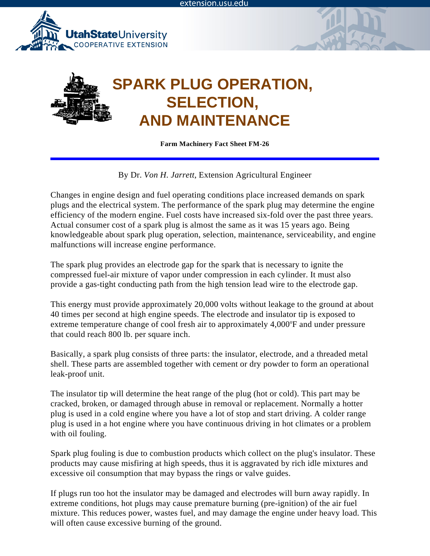





**Farm Machinery Fact Sheet FM-26**

By Dr. *Von H. Jarrett*, Extension Agricultural Engineer

Changes in engine design and fuel operating conditions place increased demands on spark plugs and the electrical system. The performance of the spark plug may determine the engine efficiency of the modern engine. Fuel costs have increased six-fold over the past three years. Actual consumer cost of a spark plug is almost the same as it was 15 years ago. Being knowledgeable about spark plug operation, selection, maintenance, serviceability, and engine malfunctions will increase engine performance.

The spark plug provides an electrode gap for the spark that is necessary to ignite the compressed fuel-air mixture of vapor under compression in each cylinder. It must also provide a gas-tight conducting path from the high tension lead wire to the electrode gap.

This energy must provide approximately 20,000 volts without leakage to the ground at about 40 times per second at high engine speeds. The electrode and insulator tip is exposed to extreme temperature change of cool fresh air to approximately 4,000°F and under pressure that could reach 800 lb. per square inch.

Basically, a spark plug consists of three parts: the insulator, electrode, and a threaded metal shell. These parts are assembled together with cement or dry powder to form an operational leak-proof unit.

The insulator tip will determine the heat range of the plug (hot or cold). This part may be cracked, broken, or damaged through abuse in removal or replacement. Normally a hotter plug is used in a cold engine where you have a lot of stop and start driving. A colder range plug is used in a hot engine where you have continuous driving in hot climates or a problem with oil fouling.

Spark plug fouling is due to combustion products which collect on the plug's insulator. These products may cause misfiring at high speeds, thus it is aggravated by rich idle mixtures and excessive oil consumption that may bypass the rings or valve guides.

If plugs run too hot the insulator may be damaged and electrodes will burn away rapidly. In extreme conditions, hot plugs may cause premature burning (pre-ignition) of the air fuel mixture. This reduces power, wastes fuel, and may damage the engine under heavy load. This will often cause excessive burning of the ground.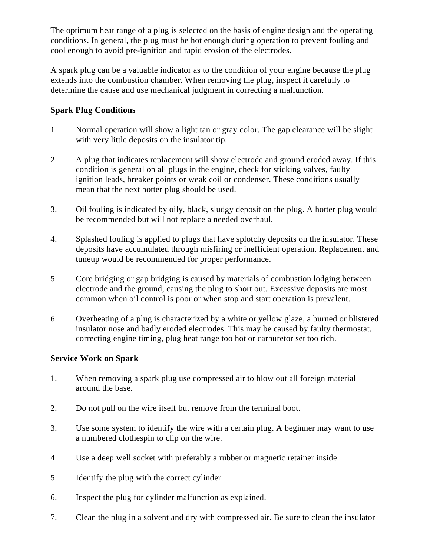The optimum heat range of a plug is selected on the basis of engine design and the operating conditions. In general, the plug must be hot enough during operation to prevent fouling and cool enough to avoid pre-ignition and rapid erosion of the electrodes.

A spark plug can be a valuable indicator as to the condition of your engine because the plug extends into the combustion chamber. When removing the plug, inspect it carefully to determine the cause and use mechanical judgment in correcting a malfunction.

## **Spark Plug Conditions**

- 1. Normal operation will show a light tan or gray color. The gap clearance will be slight with very little deposits on the insulator tip.
- 2. A plug that indicates replacement will show electrode and ground eroded away. If this condition is general on all plugs in the engine, check for sticking valves, faulty ignition leads, breaker points or weak coil or condenser. These conditions usually mean that the next hotter plug should be used.
- 3. Oil fouling is indicated by oily, black, sludgy deposit on the plug. A hotter plug would be recommended but will not replace a needed overhaul.
- 4. Splashed fouling is applied to plugs that have splotchy deposits on the insulator. These deposits have accumulated through misfiring or inefficient operation. Replacement and tuneup would be recommended for proper performance.
- 5. Core bridging or gap bridging is caused by materials of combustion lodging between electrode and the ground, causing the plug to short out. Excessive deposits are most common when oil control is poor or when stop and start operation is prevalent.
- 6. Overheating of a plug is characterized by a white or yellow glaze, a burned or blistered insulator nose and badly eroded electrodes. This may be caused by faulty thermostat, correcting engine timing, plug heat range too hot or carburetor set too rich.

## **Service Work on Spark**

- 1. When removing a spark plug use compressed air to blow out all foreign material around the base.
- 2. Do not pull on the wire itself but remove from the terminal boot.
- 3. Use some system to identify the wire with a certain plug. A beginner may want to use a numbered clothespin to clip on the wire.
- 4. Use a deep well socket with preferably a rubber or magnetic retainer inside.
- 5. Identify the plug with the correct cylinder.
- 6. Inspect the plug for cylinder malfunction as explained.
- 7. Clean the plug in a solvent and dry with compressed air. Be sure to clean the insulator